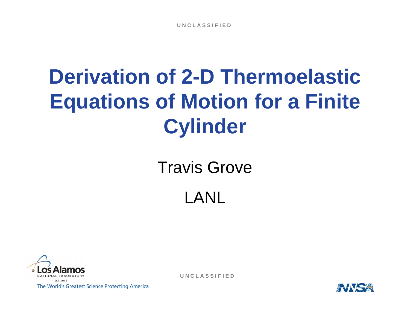## **Derivation of 2-D ThermoelasticEquations of Motion for a Finite Cylinder**

# Travis Grove





**U N C L A S S I F I E D**

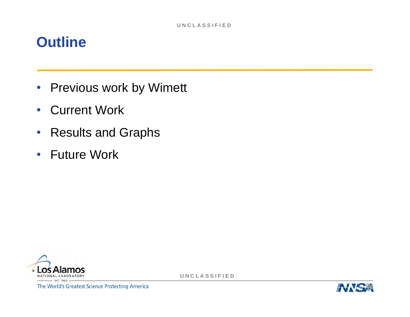#### **Outline**

- •Previous work by Wimett
- $\bullet$ Current Work
- $\bullet$ Results and Graphs
- Future Work



**U N C L A S S I F I E D**

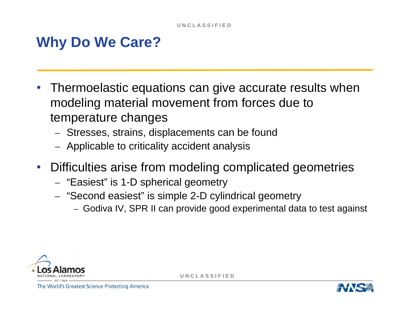### **Why Do We Care?**

- • Thermoelastic equations can give accurate results when modeling material movement from forces due to temperature changes
	- Stresses, strains, displacements can be found
	- $-$  Applicable to criticality accident analysis
- $\bullet$  Difficulties arise from modeling complicated geometries
	- "Easiest" is 1-D spherical geometry
	- "Second easiest" is simple 2-D cylindrical geometry
		- Godiva IV, SPR II can provide good experimental data to test against



**U N C L A S S I F I E D**

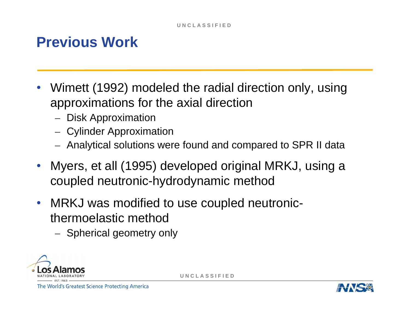### **Previous Work**

- • Wimett (1992) modeled the radial direction only, using approximations for the axial direction
	- Disk Approximation
	- Cylinder Approximation
	- Analytical solutions were found and compared to SPR II data
- $\bullet$  Myers, et all (1995) developed original MRKJ, using a coupled neutronic-hydrodynamic method
- $\bullet$  MRKJ was modified to use coupled neutronicthermoelastic method
	- Spherical geometry only



**U N C L A S S I F I E D**

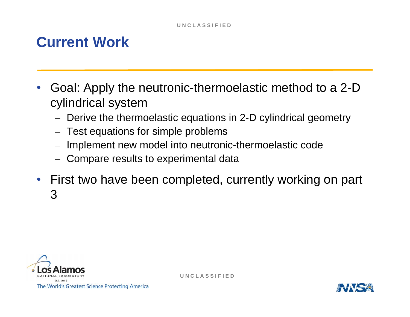### **Current Work**

- • Goal: Apply the neutronic-thermoelastic method to a 2-D cylindrical system
	- Derive the thermoelastic equations in 2-D cylindrical geometry
	- –Test equations for simple problems
	- –Implement new model into neutronic-thermoelastic code
	- Compare results to experimental data
- • First two have been completed, currently working on part 3



**U N C L A S S I F I E D**

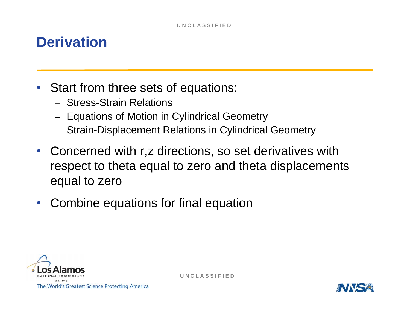#### **Derivation**

- $\bullet$  Start from three sets of equations:
	- Stress-Strain Relations
	- $-$  Equations of Motion in Cylindrical Geometry
	- Strain-Displacement Relations in Cylindrical Geometry
- $\bullet$  Concerned with r,z directions, so set derivatives with respect to theta equal to zero and theta displacements equal to zero
- $\bullet$ Combine equations for final equation



**U N C L A S S I F I E D**

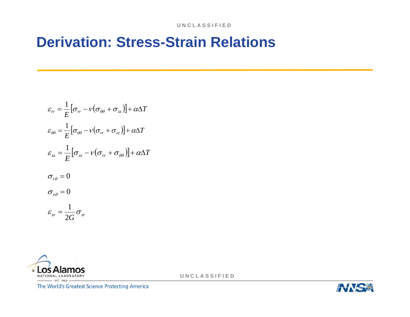#### **Derivation: Stress-Strain Relations**

$$
\varepsilon_{rr} = \frac{1}{E} \left[ \sigma_{rr} - \nu (\sigma_{\theta\theta} + \sigma_{zz}) \right] + \alpha \Delta T
$$
  
\n
$$
\varepsilon_{\theta\theta} = \frac{1}{E} \left[ \sigma_{\theta\theta} - \nu (\sigma_{rr} + \sigma_{zz}) \right] + \alpha \Delta T
$$
  
\n
$$
\varepsilon_{zz} = \frac{1}{E} \left[ \sigma_{zz} - \nu (\sigma_{rr} + \sigma_{\theta\theta}) \right] + \alpha \Delta T
$$
  
\n
$$
\sigma_{r\theta} = 0
$$
  
\n
$$
\sigma_{z\theta} = 0
$$
  
\n
$$
\varepsilon_{zr} = \frac{1}{2G} \sigma_{zr}
$$



**U N C L A S S I F I E D**

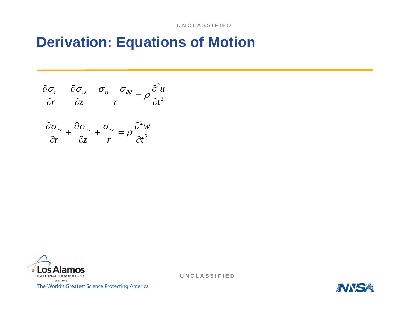#### **Derivation: Equations of Motion**

$$
\frac{\partial \sigma_{rr}}{\partial r} + \frac{\partial \sigma_{rz}}{\partial z} + \frac{\sigma_{rr} - \sigma_{\theta\theta}}{r} = \rho \frac{\partial^2 u}{\partial t^2}
$$

$$
\frac{\partial \sigma_{rz}}{\partial r} + \frac{\partial \sigma_{zz}}{\partial z} + \frac{\sigma_{rz}}{r} = \rho \frac{\partial^2 w}{\partial t^2}
$$



**U N C L A S S I F I E D**

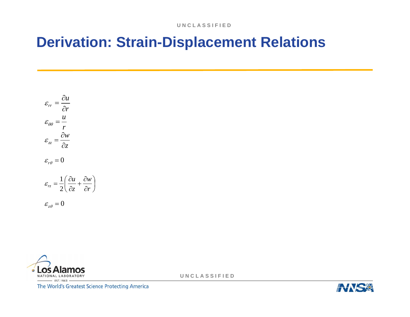#### **Derivation: Strain-Displacement Relations**

$$
\varepsilon_{rr} = \frac{\partial u}{\partial r}
$$
  
\n
$$
\varepsilon_{\theta\theta} = \frac{u}{r}
$$
  
\n
$$
\varepsilon_{zz} = \frac{\partial w}{\partial z}
$$
  
\n
$$
\varepsilon_{r\theta} = 0
$$
  
\n
$$
\varepsilon_{rz} = \frac{1}{2} \left( \frac{\partial u}{\partial z} + \frac{\partial w}{\partial r} \right)
$$
  
\n
$$
\varepsilon_{z\theta} = 0
$$



**U N C L A S S I F I E D**

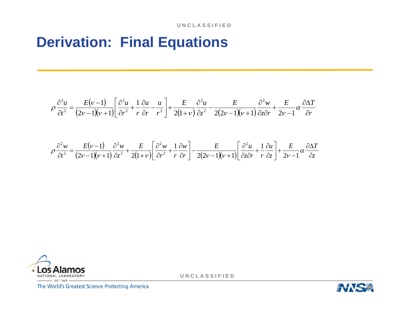#### **Derivation: Final Equations**

$$
\rho \frac{\partial^2 u}{\partial t^2} = \frac{E(\nu - 1)}{(2\nu - 1)(\nu + 1)} \left[ \frac{\partial^2 u}{\partial r^2} + \frac{1}{r} \frac{\partial u}{\partial r} - \frac{u}{r^2} \right] + \frac{E}{2(1+\nu)} \frac{\partial^2 u}{\partial z^2} - \frac{E}{2(2\nu - 1)(\nu + 1)} \frac{\partial^2 w}{\partial z \partial r} + \frac{E}{2\nu - 1} \alpha \frac{\partial \Delta T}{\partial r}
$$

$$
\rho \frac{\partial^2 w}{\partial t^2} = \frac{E(\nu-1)}{(2\nu-1)(\nu+1)} \frac{\partial^2 w}{\partial z^2} + \frac{E}{2(1+\nu)} \left[ \frac{\partial^2 w}{\partial r^2} + \frac{1}{r} \frac{\partial w}{\partial r} \right] - \frac{E}{2(2\nu-1)(\nu+1)} \left[ \frac{\partial^2 u}{\partial z \partial r} + \frac{1}{r} \frac{\partial u}{\partial z} \right] + \frac{E}{2\nu-1} \alpha \frac{\partial \Delta T}{\partial z}
$$



**U N C L A S S I F I E D**

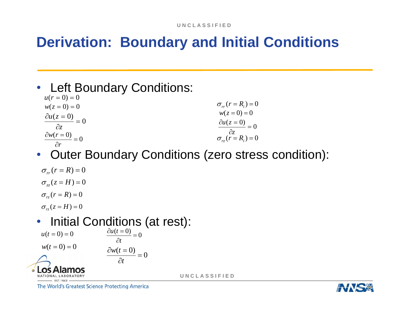### **Derivation: Boundary and Initial Conditions**

 $\bullet$  Left Boundary Conditions:  $u(r = 0) = 0$ 

$$
w(z = 0) = 0
$$
  
\n
$$
\frac{\partial u(z = 0)}{\partial z} = 0
$$
  
\n
$$
\frac{\partial w(r = 0)}{\partial r} = 0
$$
  
\n
$$
\frac{\partial w(r = 0)}{\partial r} = 0
$$
  
\n
$$
\frac{\partial w(r = 0)}{\partial r} = 0
$$
  
\n
$$
\sigma_{rz}(r = R_i) = 0
$$

 $\bullet$ Outer Boundary Conditions (zero stress condition):

$$
\sigma_{rr}(r = R) = 0
$$
  
\n
$$
\sigma_{zz}(z = H) = 0
$$
  
\n
$$
\sigma_{rz}(r = R) = 0
$$

 $\sigma_{\nu}(z = H) = 0$ 

#### $\bullet$  Initial Conditions (at rest):  $\frac{(t=0)}{\partial t}=0$  $\partial u(t=$ *tu*

*t*

∂

*t*

∂w(t =

 $\frac{(t=0)}{0} = 0$ 

 $u(t = 0) = 0$  $w(t = 0) = 0$ 



**U N C L A S S I F I E D**

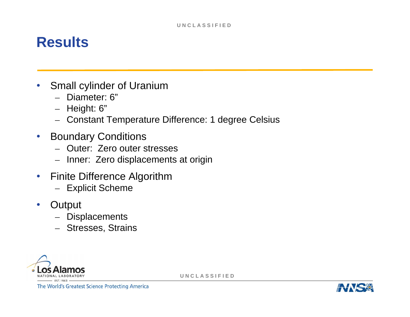#### **Results**

- • Small cylinder of Uranium
	- Diameter: 6"
	- Height: 6"
	- Constant Temperature Difference: 1 degree Celsius
- $\bullet$  Boundary Conditions
	- Outer: Zero outer stresses
	- Inner: Zero displacements at origin
- $\bullet$  Finite Difference Algorithm
	- Explicit Scheme
- •**Output** 
	- Displacements
	- Stresses, Strains



**U N C L A S S I F I E D**

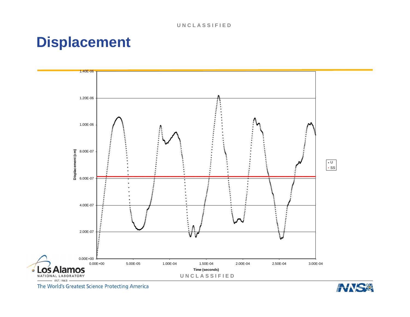#### **Displacement**



The World's Greatest Science Protecting America

 $\circ$